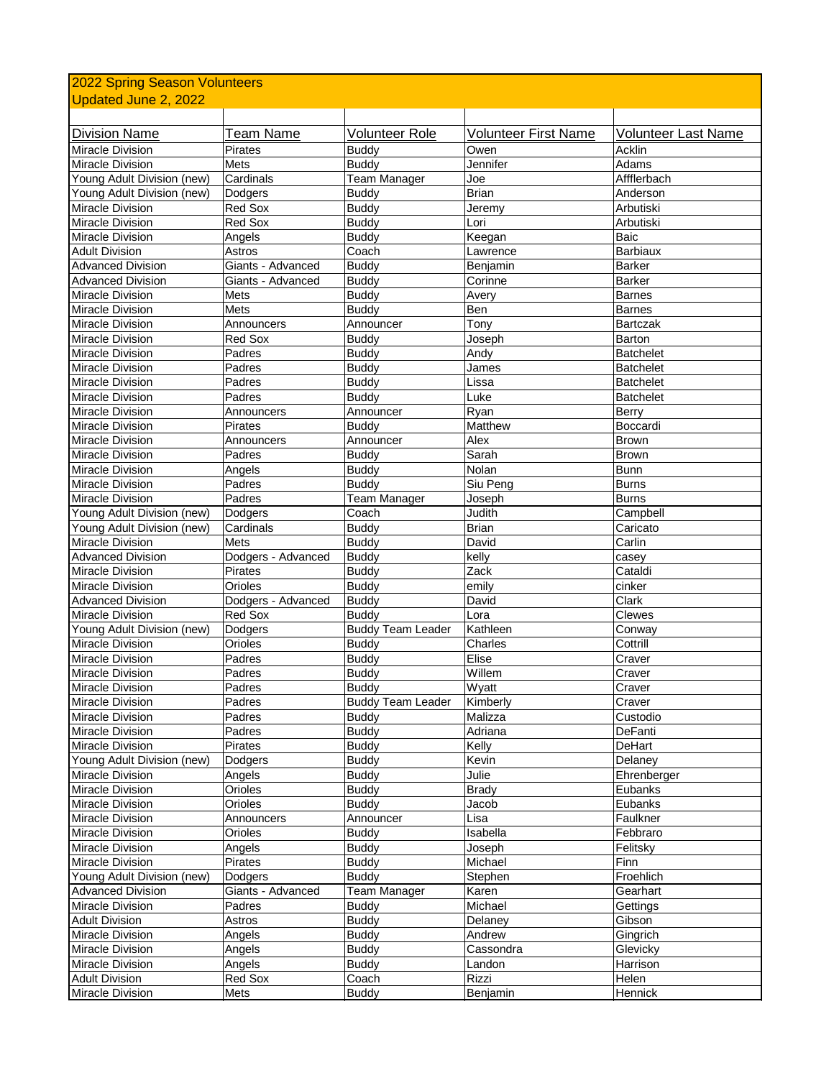| 2022 Spring Season Volunteers                      |                    |                              |                             |                     |  |  |
|----------------------------------------------------|--------------------|------------------------------|-----------------------------|---------------------|--|--|
| Updated June 2, 2022                               |                    |                              |                             |                     |  |  |
|                                                    |                    |                              |                             |                     |  |  |
| <b>Division Name</b>                               | <b>Team Name</b>   | <b>Volunteer Role</b>        | <b>Volunteer First Name</b> | Volunteer Last Name |  |  |
| Miracle Division                                   | <b>Pirates</b>     | <b>Buddy</b>                 | Owen                        | Acklin              |  |  |
| <b>Miracle Division</b>                            | Mets               | <b>Buddy</b>                 | Jennifer                    | Adams               |  |  |
| Young Adult Division (new)                         | Cardinals          | Team Manager                 | Joe                         | Affflerbach         |  |  |
| Young Adult Division (new)                         | Dodgers            | <b>Buddy</b>                 | <b>Brian</b>                | Anderson            |  |  |
| Miracle Division                                   | Red Sox            | <b>Buddy</b>                 | Jeremy                      | Arbutiski           |  |  |
| <b>Miracle Division</b>                            | <b>Red Sox</b>     | <b>Buddy</b>                 | Lori                        | Arbutiski           |  |  |
| <b>Miracle Division</b>                            | Angels             | <b>Buddy</b>                 | Keegan                      | Baic                |  |  |
| <b>Adult Division</b>                              | Astros             | Coach                        | Lawrence                    | <b>Barbiaux</b>     |  |  |
| <b>Advanced Division</b>                           | Giants - Advanced  | <b>Buddy</b>                 | Benjamin                    | <b>Barker</b>       |  |  |
| <b>Advanced Division</b>                           | Giants - Advanced  | <b>Buddy</b>                 | Corinne                     | <b>Barker</b>       |  |  |
| <b>Miracle Division</b>                            | Mets               | <b>Buddy</b>                 | Avery                       | <b>Barnes</b>       |  |  |
| <b>Miracle Division</b>                            | Mets               | <b>Buddy</b>                 | Ben                         | <b>Barnes</b>       |  |  |
| <b>Miracle Division</b>                            | Announcers         | Announcer                    | Tony                        | <b>Bartczak</b>     |  |  |
| <b>Miracle Division</b>                            | <b>Red Sox</b>     | <b>Buddy</b>                 | Joseph                      | Barton              |  |  |
| Miracle Division                                   | Padres             | <b>Buddy</b>                 | Andy                        | <b>Batchelet</b>    |  |  |
| <b>Miracle Division</b>                            | Padres             | <b>Buddy</b>                 | James                       | <b>Batchelet</b>    |  |  |
| <b>Miracle Division</b>                            | Padres             | <b>Buddy</b>                 | Lissa                       | <b>Batchelet</b>    |  |  |
| Miracle Division                                   | Padres             | <b>Buddy</b>                 | Luke                        | <b>Batchelet</b>    |  |  |
| <b>Miracle Division</b>                            | Announcers         | Announcer                    | Ryan                        | Berry               |  |  |
| <b>Miracle Division</b>                            | Pirates            | <b>Buddy</b>                 | Matthew                     | Boccardi            |  |  |
| <b>Miracle Division</b>                            | Announcers         | Announcer                    | Alex                        | Brown               |  |  |
| <b>Miracle Division</b>                            | Padres             | <b>Buddy</b>                 | Sarah                       | <b>Brown</b>        |  |  |
| <b>Miracle Division</b>                            | Angels             | <b>Buddy</b>                 | Nolan                       | <b>Bunn</b>         |  |  |
| <b>Miracle Division</b>                            | Padres             | <b>Buddy</b>                 | Siu Peng                    | <b>Burns</b>        |  |  |
| <b>Miracle Division</b>                            | Padres             | Team Manager                 | Joseph                      | <b>Burns</b>        |  |  |
| Young Adult Division (new)                         | Dodgers            | Coach                        | Judith                      | Campbell            |  |  |
| Young Adult Division (new)                         | Cardinals          | <b>Buddy</b>                 | <b>Brian</b>                | Caricato            |  |  |
| Miracle Division                                   | Mets               | <b>Buddy</b>                 | David                       | Carlin              |  |  |
| <b>Advanced Division</b>                           | Dodgers - Advanced | <b>Buddy</b>                 | kelly                       | casey               |  |  |
| <b>Miracle Division</b>                            | <b>Pirates</b>     | <b>Buddy</b>                 | Zack                        | Cataldi             |  |  |
| <b>Miracle Division</b>                            | Orioles            | <b>Buddy</b>                 | emily                       | cinker              |  |  |
| <b>Advanced Division</b>                           | Dodgers - Advanced | <b>Buddy</b>                 | David                       | Clark               |  |  |
| <b>Miracle Division</b>                            | Red Sox            | <b>Buddy</b>                 | Lora                        | Clewes              |  |  |
| Young Adult Division (new)                         | Dodgers            | <b>Buddy Team Leader</b>     | Kathleen                    | Conway              |  |  |
| <b>Miracle Division</b>                            | Orioles            | <b>Buddy</b>                 | Charles                     | Cottrill            |  |  |
| <b>Miracle Division</b>                            | Padres             | <b>Buddy</b>                 | Elise                       | Craver              |  |  |
| <b>Miracle Division</b>                            | Padres             | <b>Buddy</b>                 | Willem                      | Craver              |  |  |
| Miracle Division                                   | Padres             | <b>Buddy</b>                 | Wyatt                       | Craver              |  |  |
| <b>Miracle Division</b><br><b>Miracle Division</b> | Padres             | <b>Buddy Team Leader</b>     | Kimberly                    | Craver<br>Custodio  |  |  |
|                                                    | Padres<br>Padres   | <b>Buddy</b><br><b>Buddy</b> | Malizza                     | DeFanti             |  |  |
| Miracle Division<br>Miracle Division               | Pirates            | <b>Buddy</b>                 | Adriana<br>Kelly            | DeHart              |  |  |
| Young Adult Division (new)                         |                    |                              | Kevin                       | Delaney             |  |  |
| Miracle Division                                   | Dodgers            | <b>Buddy</b><br><b>Buddy</b> | Julie                       | Ehrenberger         |  |  |
| <b>Miracle Division</b>                            | Angels<br>Orioles  | <b>Buddy</b>                 | <b>Brady</b>                | Eubanks             |  |  |
| Miracle Division                                   | Orioles            | <b>Buddy</b>                 | Jacob                       | Eubanks             |  |  |
| Miracle Division                                   | Announcers         | Announcer                    | Lisa                        | Faulkner            |  |  |
| Miracle Division                                   | Orioles            | <b>Buddy</b>                 | Isabella                    | Febbraro            |  |  |
| Miracle Division                                   | Angels             | <b>Buddy</b>                 | Joseph                      | Felitsky            |  |  |
| Miracle Division                                   | Pirates            | <b>Buddy</b>                 | Michael                     | Finn                |  |  |
| Young Adult Division (new)                         | Dodgers            | <b>Buddy</b>                 | Stephen                     | Froehlich           |  |  |
| <b>Advanced Division</b>                           | Giants - Advanced  | Team Manager                 | Karen                       | Gearhart            |  |  |
| Miracle Division                                   | Padres             | <b>Buddy</b>                 | Michael                     | Gettings            |  |  |
| <b>Adult Division</b>                              | Astros             | <b>Buddy</b>                 | Delaney                     | Gibson              |  |  |
| Miracle Division                                   | Angels             | <b>Buddy</b>                 | Andrew                      | Gingrich            |  |  |
| Miracle Division                                   | Angels             | <b>Buddy</b>                 | Cassondra                   | Glevicky            |  |  |
| Miracle Division                                   | Angels             | <b>Buddy</b>                 | Landon                      | Harrison            |  |  |
| <b>Adult Division</b>                              | Red Sox            | Coach                        | Rizzi                       | Helen               |  |  |
| Miracle Division                                   | <b>Mets</b>        | <b>Buddy</b>                 | Benjamin                    | Hennick             |  |  |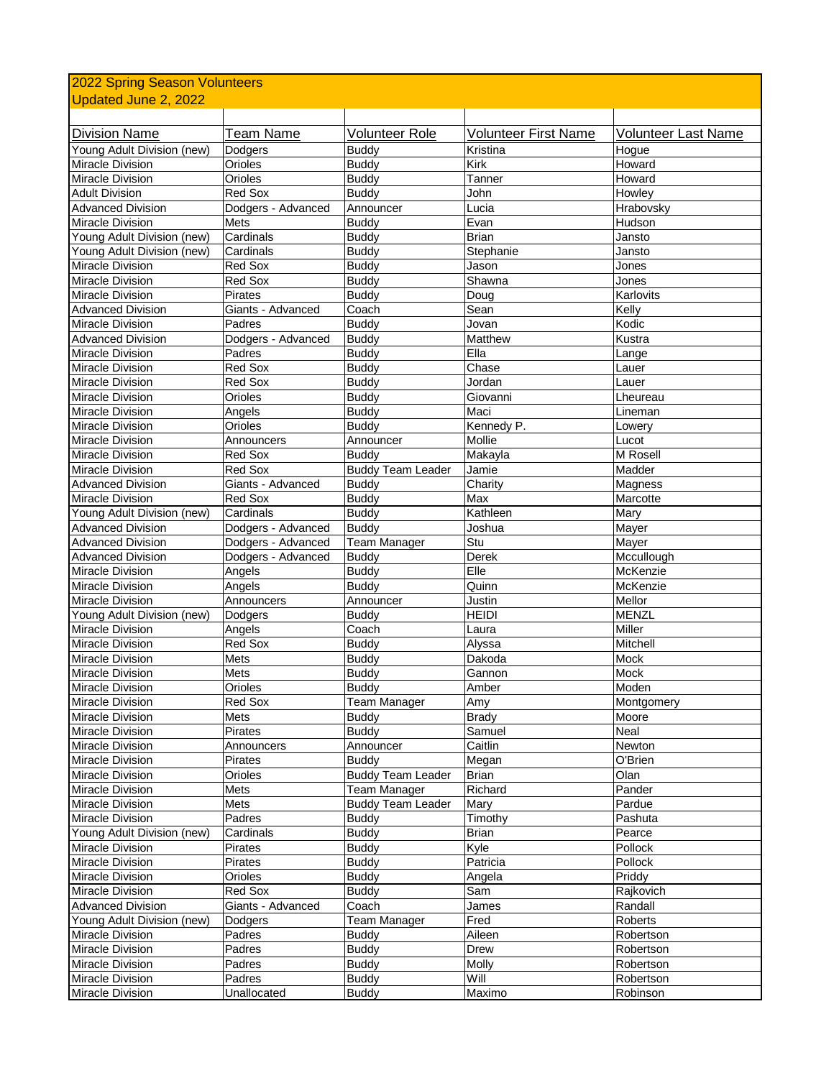| 2022 Spring Season Volunteers |                    |                          |                             |                            |  |  |
|-------------------------------|--------------------|--------------------------|-----------------------------|----------------------------|--|--|
| Updated June 2, 2022          |                    |                          |                             |                            |  |  |
|                               |                    |                          |                             |                            |  |  |
| <b>Division Name</b>          | <b>Team Name</b>   | <b>Volunteer Role</b>    | <b>Volunteer First Name</b> | <b>Volunteer Last Name</b> |  |  |
| Young Adult Division (new)    | Dodgers            | <b>Buddy</b>             | Kristina                    | Hogue                      |  |  |
| Miracle Division              | Orioles            | <b>Buddy</b>             | Kirk                        | Howard                     |  |  |
| Miracle Division              | Orioles            | <b>Buddy</b>             | Tanner                      | Howard                     |  |  |
| <b>Adult Division</b>         | Red Sox            | <b>Buddy</b>             | John                        | Howley                     |  |  |
| <b>Advanced Division</b>      | Dodgers - Advanced | Announcer                | Lucia                       | Hrabovsky                  |  |  |
| <b>Miracle Division</b>       | Mets               | <b>Buddy</b>             | Evan                        | Hudson                     |  |  |
| Young Adult Division (new)    | Cardinals          | <b>Buddy</b>             | <b>Brian</b>                | Jansto                     |  |  |
| Young Adult Division (new)    | Cardinals          | <b>Buddy</b>             | Stephanie                   | Jansto                     |  |  |
| Miracle Division              | Red Sox            | <b>Buddy</b>             | Jason                       | Jones                      |  |  |
| Miracle Division              | Red Sox            | <b>Buddy</b>             | Shawna                      | Jones                      |  |  |
| Miracle Division              | Pirates            | <b>Buddy</b>             | Doug                        | Karlovits                  |  |  |
| <b>Advanced Division</b>      | Giants - Advanced  | Coach                    | Sean                        | Kelly                      |  |  |
| <b>Miracle Division</b>       | Padres             | <b>Buddy</b>             | Jovan                       | Kodic                      |  |  |
| <b>Advanced Division</b>      | Dodgers - Advanced | <b>Buddy</b>             | Matthew                     | Kustra                     |  |  |
| <b>Miracle Division</b>       | Padres             | <b>Buddy</b>             | Ella                        | Lange                      |  |  |
| <b>Miracle Division</b>       | Red Sox            | <b>Buddy</b>             | Chase                       | Lauer                      |  |  |
| Miracle Division              | Red Sox            | <b>Buddy</b>             | Jordan                      | Lauer                      |  |  |
| Miracle Division              | Orioles            | <b>Buddy</b>             | Giovanni                    | Lheureau                   |  |  |
| Miracle Division              | Angels             | <b>Buddy</b>             | Maci                        | Lineman                    |  |  |
| <b>Miracle Division</b>       | Orioles            | Buddy                    | Kennedy P.                  | Lowery                     |  |  |
| <b>Miracle Division</b>       | Announcers         | Announcer                | Mollie                      | Lucot                      |  |  |
| <b>Miracle Division</b>       | Red Sox            | <b>Buddy</b>             | Makayla                     | M Rosell                   |  |  |
| <b>Miracle Division</b>       | Red Sox            | Buddy Team Leader        | Jamie                       | Madder                     |  |  |
| <b>Advanced Division</b>      | Giants - Advanced  | <b>Buddy</b>             | Charity                     | Magness                    |  |  |
| Miracle Division              | Red Sox            | <b>Buddy</b>             | Max                         | Marcotte                   |  |  |
| Young Adult Division (new)    | Cardinals          | <b>Buddy</b>             | Kathleen                    | Mary                       |  |  |
| <b>Advanced Division</b>      | Dodgers - Advanced | <b>Buddy</b>             | Joshua                      | Mayer                      |  |  |
| <b>Advanced Division</b>      | Dodgers - Advanced | <b>Team Manager</b>      | Stu                         | Mayer                      |  |  |
| <b>Advanced Division</b>      | Dodgers - Advanced | <b>Buddy</b>             | Derek                       | Mccullough                 |  |  |
| <b>Miracle Division</b>       | Angels             | <b>Buddy</b>             | Elle                        | McKenzie                   |  |  |
| <b>Miracle Division</b>       | Angels             | <b>Buddy</b>             | Quinn                       | McKenzie                   |  |  |
| Miracle Division              | Announcers         | Announcer                | Justin                      | Mellor                     |  |  |
| Young Adult Division (new)    | Dodgers            | <b>Buddy</b>             | <b>HEIDI</b>                | <b>MENZL</b>               |  |  |
| Miracle Division              | Angels             | Coach                    | Laura                       | Miller                     |  |  |
| Miracle Division              | Red Sox            | <b>Buddy</b>             | Alyssa                      | Mitchell                   |  |  |
| Miracle Division              | Mets               | <b>Buddy</b>             | Dakoda                      | Mock                       |  |  |
| <b>Miracle Division</b>       | Mets               | <b>Buddy</b>             | Gannon                      | Mock                       |  |  |
| Miracle Division              | Orioles            | Buddy                    | Amber                       | Moden                      |  |  |
| Miracle Division              | Red Sox            | <b>Team Manager</b>      | Amy                         | Montgomery                 |  |  |
| Miracle Division              | Mets               | <b>Buddy</b>             | <b>Brady</b>                | Moore                      |  |  |
| Miracle Division              | Pirates            | <b>Buddy</b>             | Samuel                      | Neal                       |  |  |
| Miracle Division              | Announcers         | Announcer                | Caitlin                     | Newton                     |  |  |
| Miracle Division              | Pirates            | <b>Buddy</b>             | Megan                       | O'Brien                    |  |  |
| Miracle Division              | Orioles            | <b>Buddy Team Leader</b> | <b>Brian</b>                | Olan                       |  |  |
| Miracle Division              | Mets               | Team Manager             | Richard                     | Pander                     |  |  |
| Miracle Division              | Mets               | <b>Buddy Team Leader</b> | Mary                        | Pardue                     |  |  |
| Miracle Division              | Padres             | <b>Buddy</b>             | Timothy                     | Pashuta                    |  |  |
| Young Adult Division (new)    | Cardinals          | <b>Buddy</b>             | <b>Brian</b>                | Pearce                     |  |  |
| Miracle Division              | Pirates            | <b>Buddy</b>             | Kyle                        | Pollock                    |  |  |
| Miracle Division              | Pirates            | <b>Buddy</b>             | Patricia                    | Pollock                    |  |  |
| Miracle Division              | Orioles            | <b>Buddy</b>             | Angela                      | Priddy                     |  |  |
| Miracle Division              | Red Sox            | <b>Buddy</b>             | Sam                         | Rajkovich                  |  |  |
| <b>Advanced Division</b>      | Giants - Advanced  | Coach                    | James                       | Randall                    |  |  |
| Young Adult Division (new)    | Dodgers            | <b>Team Manager</b>      | Fred                        | Roberts                    |  |  |
| Miracle Division              | Padres             | <b>Buddy</b>             | Aileen                      | Robertson                  |  |  |
| Miracle Division              | Padres             | <b>Buddy</b>             | Drew                        | Robertson                  |  |  |
| Miracle Division              | Padres             | <b>Buddy</b>             | Molly                       | Robertson                  |  |  |
| Miracle Division              | Padres             | <b>Buddy</b>             | Will                        | Robertson                  |  |  |
| Miracle Division              | Unallocated        | <b>Buddy</b>             | Maximo                      | Robinson                   |  |  |